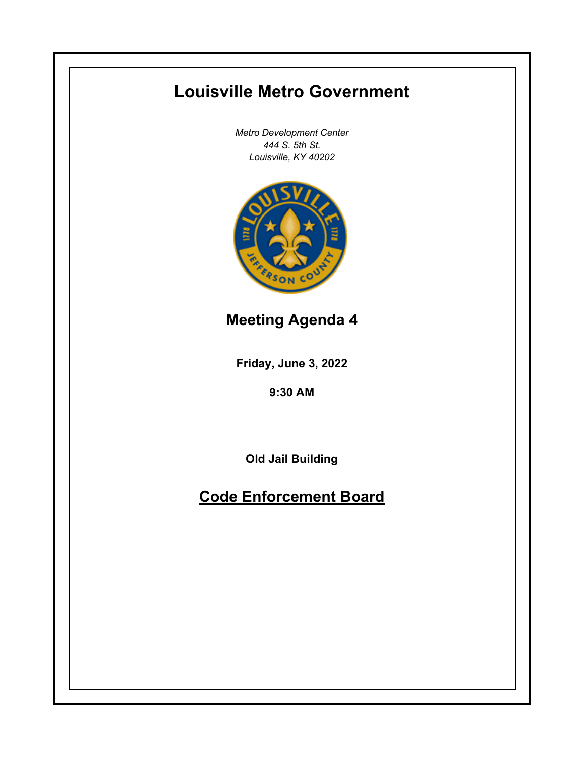# **Louisville Metro Government**

*Metro Development Center 444 S. 5th St. Louisville, KY 40202*



**Meeting Agenda 4**

**Friday, June 3, 2022**

**9:30 AM**

**Old Jail Building**

**Code Enforcement Board**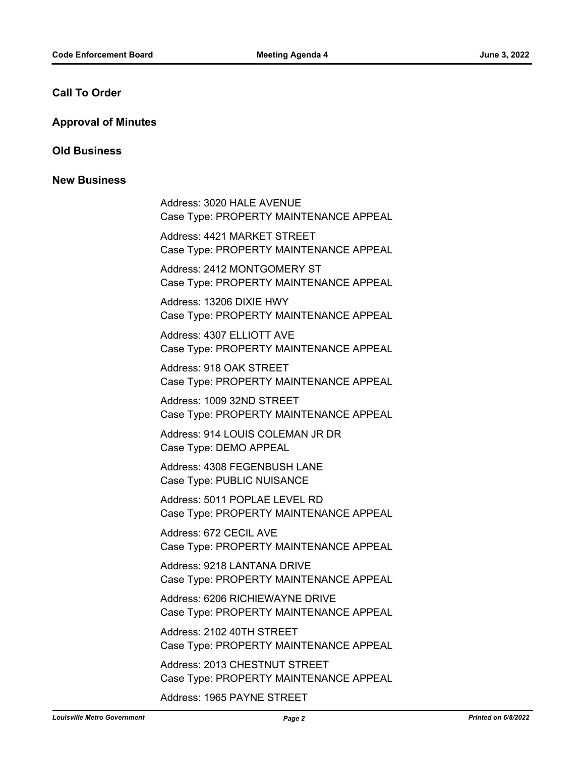# **Call To Order**

#### **Approval of Minutes**

#### **Old Business**

# **New Business**

Address: 3020 HALE AVENUE Case Type: PROPERTY MAINTENANCE APPEAL

Address: 4421 MARKET STREET Case Type: PROPERTY MAINTENANCE APPEAL

Address: 2412 MONTGOMERY ST Case Type: PROPERTY MAINTENANCE APPEAL

Address: 13206 DIXIE HWY Case Type: PROPERTY MAINTENANCE APPEAL

Address: 4307 ELLIOTT AVE Case Type: PROPERTY MAINTENANCE APPEAL

Address: 918 OAK STREET Case Type: PROPERTY MAINTENANCE APPEAL

Address: 1009 32ND STREET Case Type: PROPERTY MAINTENANCE APPEAL

Address: 914 LOUIS COLEMAN JR DR Case Type: DEMO APPEAL

Address: 4308 FEGENBUSH LANE Case Type: PUBLIC NUISANCE

Address: 5011 POPLAE LEVEL RD Case Type: PROPERTY MAINTENANCE APPEAL

Address: 672 CECIL AVE Case Type: PROPERTY MAINTENANCE APPEAL

Address: 9218 LANTANA DRIVE Case Type: PROPERTY MAINTENANCE APPEAL

Address: 6206 RICHIEWAYNE DRIVE Case Type: PROPERTY MAINTENANCE APPEAL

Address: 2102 40TH STREET Case Type: PROPERTY MAINTENANCE APPEAL

Address: 2013 CHESTNUT STREET Case Type: PROPERTY MAINTENANCE APPEAL

Address: 1965 PAYNE STREET